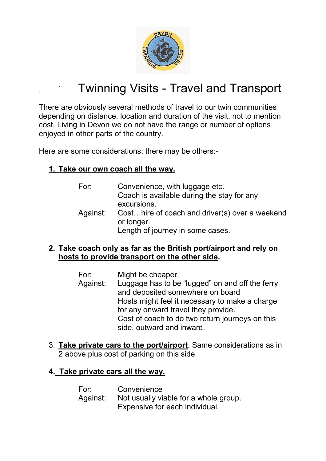

## Twinning Visits - Travel and Transport

There are obviously several methods of travel to our twin communities depending on distance, location and duration of the visit, not to mention cost. Living in Devon we do not have the range or number of options enjoyed in other parts of the country.

Here are some considerations; there may be others:-

## **1. Take our own coach all the way.**

- For: Convenience, with luggage etc. Coach is available during the stay for any excursions. Against: Cost…hire of coach and driver(s) over a weekend or longer. Length of journey in some cases.
- **2. Take coach only as far as the British port/airport and rely on hosts to provide transport on the other side.**
	- For: Might be cheaper.
	- Against: Luggage has to be "lugged" on and off the ferry and deposited somewhere on board Hosts might feel it necessary to make a charge for any onward travel they provide. Cost of coach to do two return journeys on this side, outward and inward.
- 3. **Take private cars to the port/airport**. Same considerations as in 2 above plus cost of parking on this side

## **4. Take private cars all the way.**

For: Convenience Against: Not usually viable for a whole group. Expensive for each individual.